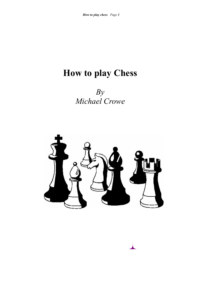# **How to play Chess**

 *Michael Crowe By* 

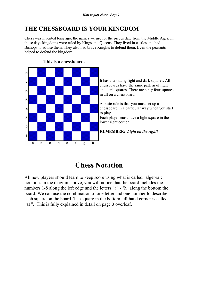# **THE CHESSBOARD IS YOUR KINGDOM**

Chess was invented long ago. the names we use for the pieces date from the Middle Ages. In those days kingdoms were ruled by Kings and Queens. They lived in castles and had Bishops to advise them. They also had brave Knights to defend them. Even the peasants helped to defend the kingdom.



# **This is a chessboard.**

# **Chess Notation**

All new players should learn to keep score using what is called "algebraic" notation. In the diagram above, you will notice that the board includes the numbers 1-8 along the left edge and the letters "a" - "h" along the bottom the board. We can use the combination of one letter and one number to describe each square on the board. The square in the bottom left hand corner is called "a1". This is fully explained in detail on page 3 overleaf.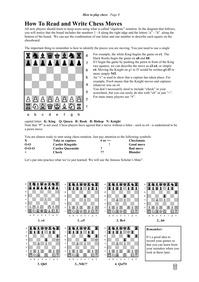# **How To Read and Write Chess Moves**

All new players should learn to keep score using what is called "algebraic" notation. In the diagram that follows, you will notice that the board includes the numbers 1 - 8 along the right edge and the letters "a" - "h" along the bottom of the board. We can use the combination of one letter and one number to describe each square on the chessboard.

The important thing to remember is how to identify the pieces you are moving. You just need to use a single



- For example, the white King begins the game on **e1**. The black Rooks begin the game on **a8** and **h8**.
- If I begin the game by pushing the pawn in front of the King two squares, we can describe the move as **e2-e4**, or simply **e4**. Moving the Knight on g1 to f3 would be written **g1-f3** or more simply **Nf3**.
- An "x" is used to show that a capture has taken place. For example, Nxe4 means that the Knight moves and captures whatever was on e4.
- You don't necessarily need to include "check" in your scoresheet, but you can easily do this with "ch" or just "+". For mate many players use "#".

#### capital letter: **K: King Q: Queen R: Rook B: Bishop N: Knight**  Note that "P" is not used. Chess players have agreed that a move without a letter - such as e4 - is understood to be

a pawn move.

You are almost ready to start using chess notation. Just pay attention to the following symbols:

| $\mathbf X$ | Take or capture          | # or $++$ | <b>Checkmate</b> |
|-------------|--------------------------|-----------|------------------|
| $0 - 0$     | <b>Castles Kingside</b>  |           | <b>Good move</b> |
| $0 - 0 - 0$ | <b>Castles Queenside</b> |           | <b>Bad move</b>  |
| $^{+}$      | Check                    | ??        | <b>Blunder</b>   |

Let's put into practice what we've just learned. We will use the famous Scholar's Mate".

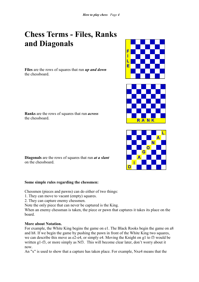# **Chess Terms - Files, Ranks and Diagonals**

**Files** are the rows of squares that run *up and down*  the chessboard.

**Ranks** are the rows of squares that run *across* the chessboard.

**Diagonals** are the rows of squares that run *at a slant* on the chessboard.

# **Some simple rules regarding the chessmen:**

Chessmen (pieces and pawns) can do either of two things:

- 1. They can move to vacant (empty) squares.
- 2. They can capture enemy chessmen.

Note the only piece that can never be captured is the King.

When an enemy chessman is taken, the piece or pawn that captures it takes its place on the board.

#### **More about Notation.**

For example, the White King begins the game on e1. The Black Rooks begin the game on a8 and h8. If we begin the game by pushing the pawn in front of the White King two squares, we can describe this move as e2-e4, or simply e4. Moving the Knight on g1 to f3 would be written g1-f3, or more simply as Nf3. This will become clear later, don't worry about it now.

An "x" is used to show that a capture has taken place. For example, Nxe4 means that the





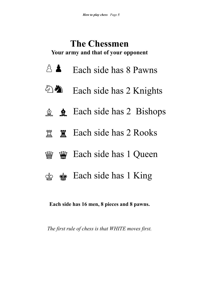# **The Chessmen Your army and that of your opponent**

- $\hat{\triangle}$  Each side has 8 Pawns
- $\begin{picture}(20,20) \put(0,0){\vector(1,0){10}} \put(15,0){\vector(1,0){10}} \put(15,0){\vector(1,0){10}} \put(15,0){\vector(1,0){10}} \put(15,0){\vector(1,0){10}} \put(15,0){\vector(1,0){10}} \put(15,0){\vector(1,0){10}} \put(15,0){\vector(1,0){10}} \put(15,0){\vector(1,0){10}} \put(15,0){\vector(1,0){10}} \put(15,0){\vector(1,0){10}} \put(15,0){\vector(1$ Each side has 2 Knights  $\omega$
- Each side has 2 Bishops  $A$
- **置 Each side has 2 Rooks**  $\ddot{\mathbf{e}}$
- **W** Each side has 1 Queen  $\hat{m}$
- $\circ$   $\bullet$  Each side has 1 King

**Each side has 16 men, 8 pieces and 8 pawns.** 

*The first rule of chess is that WHITE moves first.*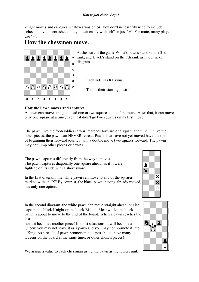knight moves and captures whatever was on e4. You don't necessarily need to include "check" in your scoresheet, but you can easily with "ch" or just "+". For mate, many players use "#".

# **How the chessmen move.**



At the start of the game White's pawns stand on the 2nd rank, and Black's stand on the 7th rank as in our next diagram.

Each side has 8 Pawns

This is their starting position

# **How the Pawn moves and captures**

A pawn can move straight ahead one or two squares on its first move. After that, it can move only one square at a time, even if it didn't go two squares on its first move.

The pawn, like the foot-soldier in war, marches forward one square at a time. Unlike the other pieces, the pawn can NEVER retreat. Pawns that have not yet moved have the option of beginning their forward journey with a double move two-squares forward. The pawns may not jump other pieces or pawns.

The pawn captures differently from the way it moves. The pawn captures diagonally one square ahead, as if it were fighting on its side with a short sword. . .

In the first diagram, the white pawn can move to any of the squares marked with an "X" By contrast, the black pawn, having already moved, has only one option.



In the second diagram, the white pawn can move straight ahead, or else capture the black Knight or the black Bishop. Meanwhile, the black pawn is about to move to the end of the board. When a pawn reaches the last

rank, it becomes another piece! In most situations, it will become a Queen; you may not leave it as a pawn and you may not promote it into a King. As a result of pawn promotion, it is possible to have many Queens on the board at the same time, or other chosen pieces!



We assign a value to each chessman using the pawn as the lowest unit.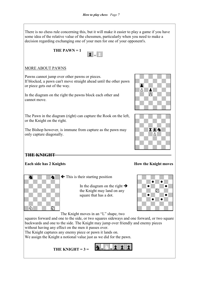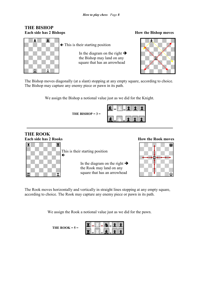# **THE BISHOP Each side has 2 Bishops How the Bishop moves**



 $\leftarrow$  This is their starting position

In the diagram on the right  $\rightarrow$  the Bishop may land on any square that has an arrowhead



The Bishop moves diagonally (at a slant) stopping at any empty square, according to choice. The Bishop may capture any enemy piece or pawn in its path.

We assign the Bishop a notional value just as we did for the Knight.

 **THE BISHOP = 3 =** 

|  | $\sim$ |                          | $1$ $1$ | . . |
|--|--------|--------------------------|---------|-----|
|  |        | $\left  \cdot \right $ t | $\pm$   |     |

# **THE ROOK**



This is their starting position

In the diagram on the right  $\rightarrow$  the Rook may land on any square that has an arrowhead

# **Each side has 2 Rooks How the Rook moves**



The Rook moves horizontally and vertically in straight lines stopping at any empty square, according to choice. The Rook may capture any enemy piece or pawn in its path.

We assign the Rook a notional value just as we did for the pawn.

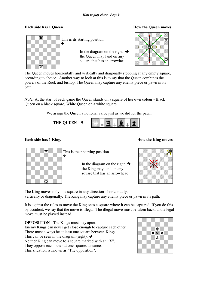

This is its starting position

In the diagram on the right  $\rightarrow$  the Queen may land on any square that has an arrowhead

## **Each side has 1 Queen Each side has 1 Queen Each side has 1 Queen Each side has 1 Queen Each side side 5 A**



The Queen moves horizontally and vertically and diagonally stopping at any empty square, according to choice. Another way to look at this is to say that the Queen combines the powers of the Rook and bishop. The Queen may capture any enemy piece or pawn in its path.

*Note*: At the start of each game the Queen stands on a square of her own colour - Black Queen on a black square, White Queen on a white square.

We assign the Queen a notional value just as we did for the pawn.



# **Each side has 1 King. How the King moves**



This is their starting position

In the diagram on the right  $\rightarrow$  the King may land on any square that has an arrowhead



The King moves only one square in any direction - horizontally, vertically or diagonally. The King may capture any enemy piece or pawn in its path.

It is against the rules to move the King onto a square where it can be captured. If you do this by accident, we say that the move is illegal. The illegal move must be taken back, and a legal move must be played instead.

**OPPOSITION - The Kings must stay apart.** Enemy Kings can never get close enough to capture each other. There must always be at least one square between Kings. This can be seen in the diagram (right).  $\rightarrow$ Neither King can move to a square marked with an "X". They oppose each other at one squares distance. This situation is known as "The opposition".

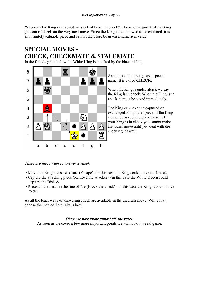Whenever the King is attacked we say that he is "in check". The rules require that the King gets out of check on the very next move. Since the King is not allowed to be captured, it is an infinitely valuable piece and cannot therefore be given a numerical value.

# **SPECIAL MOVES - CHECK, CHECKMATE & STALEMATE**

In the first diagram below the White King is attacked by the black bishop.



An attack on the King has a special name. It is called **CHECK**.

When the King is under attack we say the King is in check. When the King is in check, it must be saved immediately.

The King can never be captured or exchanged for another piece. If the King cannot be saved, the game is over. If your King is in check you cannot make any other move until you deal with the check right away.

# *There are three ways to answer a check*

- Move the King to a safe square (Escape) in this case the King could move to f1 or e2.
- Capture the attacking piece (Remove the attacker) in this case the White Queen could capture the Bishop.
- Place another man in the line of fire (Block the check) in this case the Knight could move to d2.

As all the legal ways of answering check are available in the diagram above, White may choose the method he thinks is best.

#### *Okay, we now know almost all the rules.*

As soon as we cover a few more important points we will look at a real game.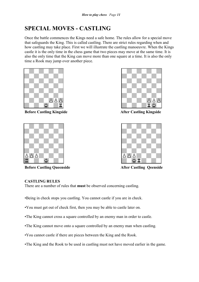# **SPECIAL MOVES - CASTLING**

Once the battle commences the Kings need a safe home. The rules allow for a special move that safeguards the King. This is called castling. There are strict rules regarding when and how castling may take place. First we will illustrate the castling manoeuvre. When the Kings castle it is the only time in the chess game that two pieces may move at the same time. It is also the only time that the King can move more than one square at a time. It is also the only time a Rook may jump over another piece.



**Before Castling Kingside**  After Castling Kingside



**Before Castling Queenside** After Castling Qeenside





# **CASTLING RULES**

There are a number of rules that **must** be observed concerning castling.

- •Being in check stops you castling. You cannot castle if you are in check.
- •You must get out of check first, then you may be able to castle later on.
- •The King cannot cross a square controlled by an enemy man in order to castle.
- •The King cannot move onto a square controlled by an enemy man when castling.
- •You cannot castle if there are pieces between the King and the Rook.
- •The King and the Rook to be used in castling must not have moved earlier in the game.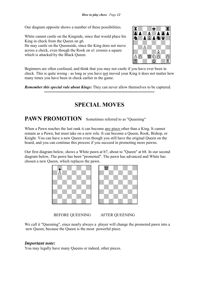Our diagram opposite shows a number of these possibilities.

White cannot castle on the Kingside, since that would place his King in check from the Queen on g6.

He may castle on the Queenside, since the King does not move across a check, even though the Rook on a1 crosses a square which is attacked by the Black Queen.



Beginners are often confused, and think that you may not castle if you have ever been in check. This is quite wrong - as long as you have not moved your King it does not matter how many times you have been in check earlier in the game.

*Remember this special rule about Kings:* They can never allow themselves to be captured.

# **SPECIAL MOVES**

# PAWN PROMOTION Sometimes referred to as "Queening"

When a Pawn reaches the last rank it can become any piece other than a King. It cannot remain as a Pawn, but must take on a new role. It can become a Queen, Rook, Bishop, or Knight. You can have a new Queen even though you still have the original Queen on the board, and you can continue this process if you succeed in promoting more pawns.

Our first diagram below, shows a White pawn at b7, about to "Queen" at b8. In our second diagram below, The pawn has been "promoted". The pawn has advanced and White has chosen a new Queen, which replaces the pawn.





BEFORE QUEENING AFTER QUEENING

We call it "Queening", since nearly always a player will change the promoted pawn into a new Queen, because the Queen is the most powerful piece.

# *Important note:*

You may legally have many Queens or indeed, other pieces.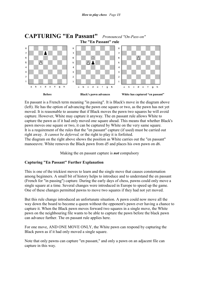

En passant is a French term meaning "in passing". It is Black's move in the diagram above (left). He has the option of advancing the pawn one square or two, as the pawn has not yet moved. It is reasonable to assume that if Black moves the pawn two squares he will avoid capture. However, White may capture it anyway. The en passant rule allows White to capture the pawn as if it had only moved one square ahead. This means that whether Black's pawn moves one square or two, it can be captured by White on the very same square. It is a requirement of the rules that the "en passant" capture (if used) must be carried out right away. *It cannot be deferred,* or the right to play it is forfeited.

The diagram on the right above shows the position as White carries out the "en passant" manoeuvre. White removes the Black pawn from d5 and places his own pawn on d6.

Making the en passant capture is *not* compulsory

# **Capturing "En Passant" Further Explanation**

This is one of the trickiest moves to learn and the single move that causes consternation among beginners. A small bit of history helps to introduce and to understand the en passant (French for "in passing") capture. During the early days of chess, pawns could only move a single square at a time. Several changes were introduced in Europe to speed up the game. One of these changes permitted pawns to move two squares if they had not yet moved.

But this rule change introduced an unfortunate situation. A pawn could now move all the way down the board to become a queen without the opponent's pawn ever having a chance to capture it. When the Black pawn moves forward two squares in a single move, the White pawn on the neighbouring file wants to be able to capture the pawn before the black pawn can advance further. The en passant rule applies here.

For one move, AND ONE MOVE ONLY, the White pawn can respond by capturing the Black pawn as if it had only moved a single square.

Note that only pawns can capture "en passant," and only a pawn on an adjacent file can capture in this way.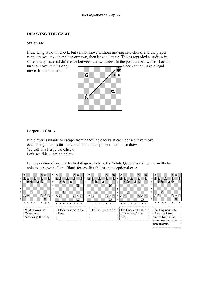#### **DRAWING THE GAME**

#### **Stalemate**

If the King is not in check, but cannot move without moving into check, and the player cannot move any other piece or pawn, then it is stalemate. This is regarded as a draw in spite of any material difference between the two sides. In the position below it is Black's

turn to move, but his only piece cannot make a legal move. It is stalemate.



### **Perpetual Check**

If a player is unable to escape from annoying checks at each consecutive move, even though he has far more men than the opponent then it is a draw. We call this Perpetual Check.

Let's see this in action below.

In the position shown in the first diagram below, the White Queen would not normally be able to cope with all the Black forces. But this is an exceptional case.

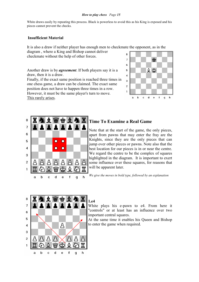White draws easily by repeating this process. Black is powerless to avoid this as his King is exposed and his pieces cannot prevent the checks.

#### **Insufficient Material**

It is also a draw if neither player has enough men to checkmate the opponent, as in the

diagram , where a King and Bishop cannot deliver checkmate without the help of other forces.

Another draw is by *agreement*. If both players say it is a draw, then it is a draw. Finally, if the exact same position is reached three times in one chess game, a draw can be claimed. The exact same position does not have to happen three times in a row. However, it must be the same player's turn to move. This rarely arises.





# **Time To Examine a Real Game**

Note that at the start of the game, the only pieces, apart from pawns that may enter the fray are the Knights, since they are the only pieces that can jump over other pieces or pawns. Note also that the best location for our pieces is in or near the centre. We regard the centre to be the complex of squares highlighted in the diagram. It is important to exert some influence over these squares, for reasons that will be apparent later.

*We give the moves in bold type, followed by an explanation*



#### **1.e4**

White plays his e-pawn to e4. From here it "controls" or at least has an influence over two important central squares.

At the same time it enables his Queen and Bishop to enter the game when required.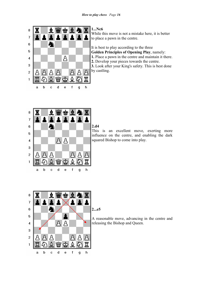

**1...Nc6** 

While this move is not a mistake here, it is better to place a pawn in the centre.

It is best to play according to the three **Golden Principles of Opening Play**, namely: **1.** Place a pawn in the centre and maintain it there. **2.** Develop your pieces towards the centre. **3.** Look after your King's safety. This is best done by castling.



**2.d4** 

This is an excellent move, exerting more influence on the centre, and enabling the dark squared Bishop to come into play.



### **2...e5**

A reasonable move, advancing in the centre and releasing the Bishop and Queen.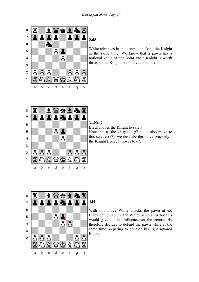

# **3.d5**

White advances in the centre, attacking the Knight at the same time. We know that a pawn has a notional value of one point and a Knight is worth three, so the Knight must move or be lost.



# **3...Nce7**

Black moves the Knight to safety.

Note that as the knight at g7 could also move to this square (e7), we describe the move precisely the Knight from c6 moves to e7.



# **4.f4**

With this move White attacks the pawn at e5. Black could capture the White pawn at f4 but this would give up his influence on the centre. He therefore decides to defend the pawn while at the same time preparing to develop his light squared Bishop.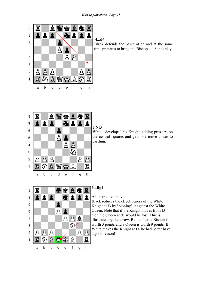

# **4...d6**

Black defends the pawn at e5 and at the same time prepares to bring the Bishop at c8 into play.



# **5.Nf3**

White "develops" his Knight, adding pressure on the central squares and gets one move closer to castling.



# **5...Bg4**

An instructive move.

Black reduces the effectiveness of the White Knight at f3 by "pinning" it against the White Queen. Note that if the Knight moves from f3 then the Queen at d1 would be lost. This is illustrated by the arrow. Remember, a Bishop is worth 3 points and a Queen is worth 9 points. If White moves the Knight at f3, he had better have a good reason!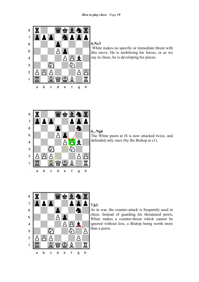

## **6.Nc3**

 White makes no specific or immediate threat with this move. He is mobilising his forces, or as we say in chess, he is developing his pieces.



#### **6...Ng6**

The White pawn at f4 is now attacked twice, and defended only once (by the Bishop at c1).



# **7.h3**

As in war, the counter-attack is frequently used in chess. Instead of guarding his threatened pawn, White makes a counter-threat which cannot be ignored without loss, a Bishop being worth more than a pawn.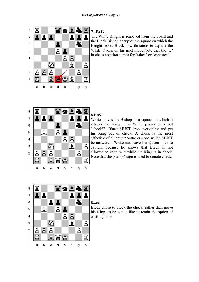

# **7...Bxf3**

The White Knight is removed from the board and the Black Bishop occupies the square on which the Knight stood. Black now threatens to capture the White Queen on his next move.Note that the "x" in chess notation stands for "takes" or "captures".



#### **8.Bb5+**

White moves his Bishop to a square on which it attacks the King. The White player calls out "check!" Black MUST drop everything and get his King out of check. A check is the most effective of all counter-attacks - one which MUST be answered. White can leave his Queen open to capture because he knows that Black is not allowed to capture it while his King is in check. Note that the plus (+) sign is used to denote check.



#### **8...c6**

Black chose to block the check, rather than move his King, as he would like to retain the option of castling later.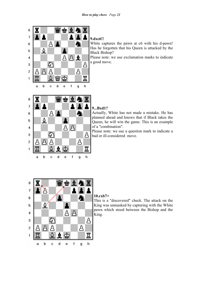

# **9.dxc6!!**

White captures the pawn at c6 with his d-pawn! Has he forgotten that his Queen is attacked by the Black Bishop?

Please note: we use exclamation marks to indicate a good move.



e

 $\mathsf f$ 

 $\overline{g}$ 

h

 $\overline{\mathbf{d}}$ 

 $\mathbf c$ 

 $\mathbf{1}$ 

 $\mathbf{a}$ 

 $\mathbf b$ 

### **9...Bxd1?**

Actually, White has not made a mistake. He has planned ahead and knows that if Black takes the Queen, he will win the game. This is an example of a "combination".

Please note: we use a question mark to indicate a bad or ill-considered move.



# **10.cxb7+**

This is a "discovered" check. The attack on the King was unmasked by capturing with the White pawn which stood between the Bishop and the King.